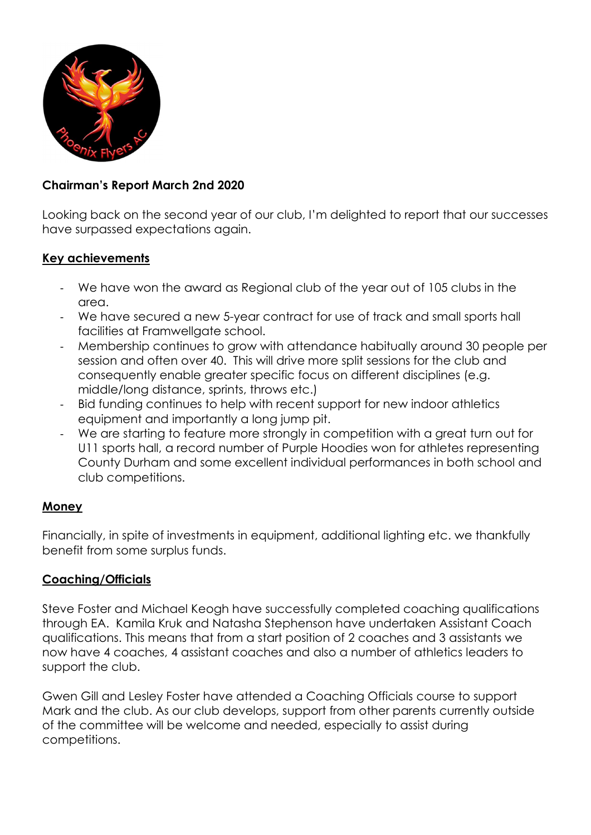

### Chairman's Report March 2nd 2020

Looking back on the second year of our club, I'm delighted to report that our successes have surpassed expectations again.

#### Key achievements

- We have won the award as Regional club of the year out of 105 clubs in the area.
- We have secured a new 5-year contract for use of track and small sports hall facilities at Framwellgate school.
- Membership continues to grow with attendance habitually around 30 people per session and often over 40. This will drive more split sessions for the club and consequently enable greater specific focus on different disciplines (e.g. middle/long distance, sprints, throws etc.)
- Bid funding continues to help with recent support for new indoor athletics equipment and importantly a long jump pit.
- We are starting to feature more strongly in competition with a great turn out for U11 sports hall, a record number of Purple Hoodies won for athletes representing County Durham and some excellent individual performances in both school and club competitions.

#### Money

Financially, in spite of investments in equipment, additional lighting etc. we thankfully benefit from some surplus funds.

#### Coaching/Officials

Steve Foster and Michael Keogh have successfully completed coaching qualifications through EA. Kamila Kruk and Natasha Stephenson have undertaken Assistant Coach qualifications. This means that from a start position of 2 coaches and 3 assistants we now have 4 coaches, 4 assistant coaches and also a number of athletics leaders to support the club.

Gwen Gill and Lesley Foster have attended a Coaching Officials course to support Mark and the club. As our club develops, support from other parents currently outside of the committee will be welcome and needed, especially to assist during competitions.